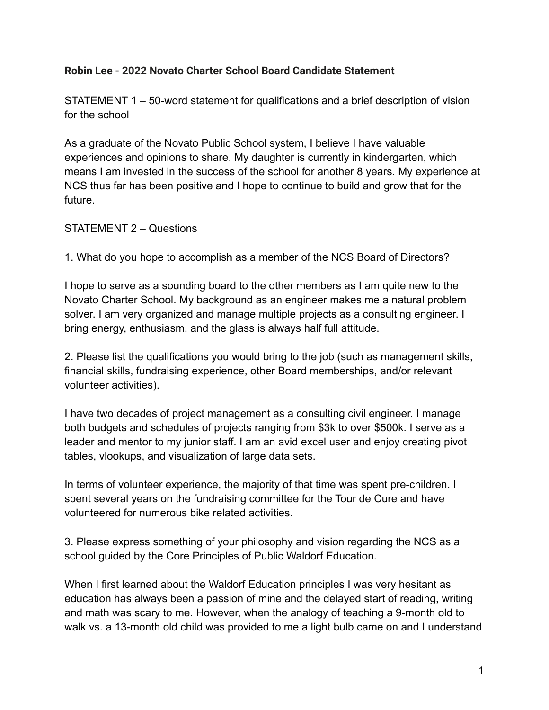## **Robin Lee - 2022 Novato Charter School Board Candidate Statement**

STATEMENT 1 – 50-word statement for qualifications and a brief description of vision for the school

As a graduate of the Novato Public School system, I believe I have valuable experiences and opinions to share. My daughter is currently in kindergarten, which means I am invested in the success of the school for another 8 years. My experience at NCS thus far has been positive and I hope to continue to build and grow that for the future.

## STATEMENT 2 – Questions

1. What do you hope to accomplish as a member of the NCS Board of Directors?

I hope to serve as a sounding board to the other members as I am quite new to the Novato Charter School. My background as an engineer makes me a natural problem solver. I am very organized and manage multiple projects as a consulting engineer. I bring energy, enthusiasm, and the glass is always half full attitude.

2. Please list the qualifications you would bring to the job (such as management skills, financial skills, fundraising experience, other Board memberships, and/or relevant volunteer activities).

I have two decades of project management as a consulting civil engineer. I manage both budgets and schedules of projects ranging from \$3k to over \$500k. I serve as a leader and mentor to my junior staff. I am an avid excel user and enjoy creating pivot tables, vlookups, and visualization of large data sets.

In terms of volunteer experience, the majority of that time was spent pre-children. I spent several years on the fundraising committee for the Tour de Cure and have volunteered for numerous bike related activities.

3. Please express something of your philosophy and vision regarding the NCS as a school guided by the Core Principles of Public Waldorf Education.

When I first learned about the Waldorf Education principles I was very hesitant as education has always been a passion of mine and the delayed start of reading, writing and math was scary to me. However, when the analogy of teaching a 9-month old to walk vs. a 13-month old child was provided to me a light bulb came on and I understand